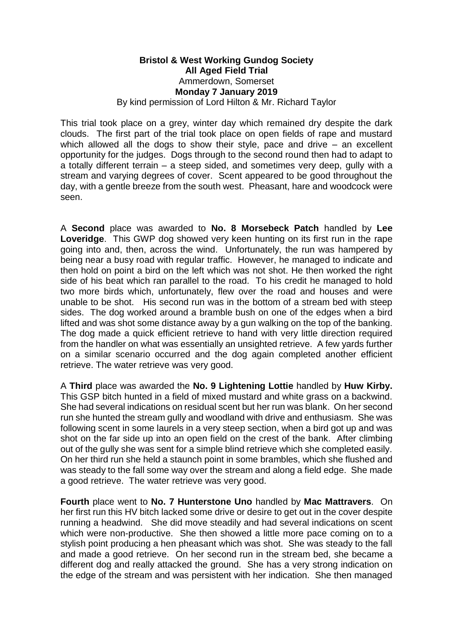## **Bristol & West Working Gundog Society All Aged Field Trial** Ammerdown, Somerset **Monday 7 January 2019** By kind permission of Lord Hilton & Mr. Richard Taylor

This trial took place on a grey, winter day which remained dry despite the dark clouds. The first part of the trial took place on open fields of rape and mustard which allowed all the dogs to show their style, pace and drive – an excellent opportunity for the judges. Dogs through to the second round then had to adapt to a totally different terrain – a steep sided, and sometimes very deep, gully with a stream and varying degrees of cover. Scent appeared to be good throughout the day, with a gentle breeze from the south west. Pheasant, hare and woodcock were seen.

A **Second** place was awarded to **No. 8 Morsebeck Patch** handled by **Lee Loveridge**. This GWP dog showed very keen hunting on its first run in the rape going into and, then, across the wind. Unfortunately, the run was hampered by being near a busy road with regular traffic. However, he managed to indicate and then hold on point a bird on the left which was not shot. He then worked the right side of his beat which ran parallel to the road. To his credit he managed to hold two more birds which, unfortunately, flew over the road and houses and were unable to be shot. His second run was in the bottom of a stream bed with steep sides. The dog worked around a bramble bush on one of the edges when a bird lifted and was shot some distance away by a gun walking on the top of the banking. The dog made a quick efficient retrieve to hand with very little direction required from the handler on what was essentially an unsighted retrieve. A few yards further on a similar scenario occurred and the dog again completed another efficient retrieve. The water retrieve was very good.

A **Third** place was awarded the **No. 9 Lightening Lottie** handled by **Huw Kirby.**  This GSP bitch hunted in a field of mixed mustard and white grass on a backwind. She had several indications on residual scent but her run was blank. On her second run she hunted the stream gully and woodland with drive and enthusiasm. She was following scent in some laurels in a very steep section, when a bird got up and was shot on the far side up into an open field on the crest of the bank. After climbing out of the gully she was sent for a simple blind retrieve which she completed easily. On her third run she held a staunch point in some brambles, which she flushed and was steady to the fall some way over the stream and along a field edge. She made a good retrieve. The water retrieve was very good.

**Fourth** place went to **No. 7 Hunterstone Uno** handled by **Mac Mattravers**. On her first run this HV bitch lacked some drive or desire to get out in the cover despite running a headwind. She did move steadily and had several indications on scent which were non-productive. She then showed a little more pace coming on to a stylish point producing a hen pheasant which was shot. She was steady to the fall and made a good retrieve. On her second run in the stream bed, she became a different dog and really attacked the ground. She has a very strong indication on the edge of the stream and was persistent with her indication. She then managed